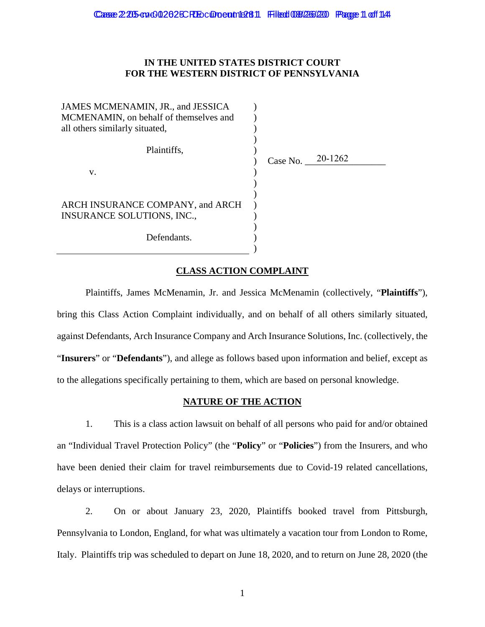## **IN THE UNITED STATES DISTRICT COURT FOR THE WESTERN DISTRICT OF PENNSYLVANIA**

| JAMES MCMENAMIN, JR., and JESSICA<br>MCMENAMIN, on behalf of themselves and<br>all others similarly situated, |  |
|---------------------------------------------------------------------------------------------------------------|--|
| Plaintiffs.                                                                                                   |  |
| V.                                                                                                            |  |
|                                                                                                               |  |
| ARCH INSURANCE COMPANY, and ARCH<br><b>INSURANCE SOLUTIONS, INC.,</b>                                         |  |
| Defendants.                                                                                                   |  |
|                                                                                                               |  |

Case No. 20-1262

## **CLASS ACTION COMPLAINT**

Plaintiffs, James McMenamin, Jr. and Jessica McMenamin (collectively, "**Plaintiffs**"), bring this Class Action Complaint individually, and on behalf of all others similarly situated, against Defendants, Arch Insurance Company and Arch Insurance Solutions, Inc. (collectively, the "**Insurers**" or "**Defendants**"), and allege as follows based upon information and belief, except as to the allegations specifically pertaining to them, which are based on personal knowledge.

### **NATURE OF THE ACTION**

1. This is a class action lawsuit on behalf of all persons who paid for and/or obtained an "Individual Travel Protection Policy" (the "**Policy**" or "**Policies**") from the Insurers, and who have been denied their claim for travel reimbursements due to Covid-19 related cancellations, delays or interruptions.

2. On or about January 23, 2020, Plaintiffs booked travel from Pittsburgh, Pennsylvania to London, England, for what was ultimately a vacation tour from London to Rome, Italy. Plaintiffs trip was scheduled to depart on June 18, 2020, and to return on June 28, 2020 (the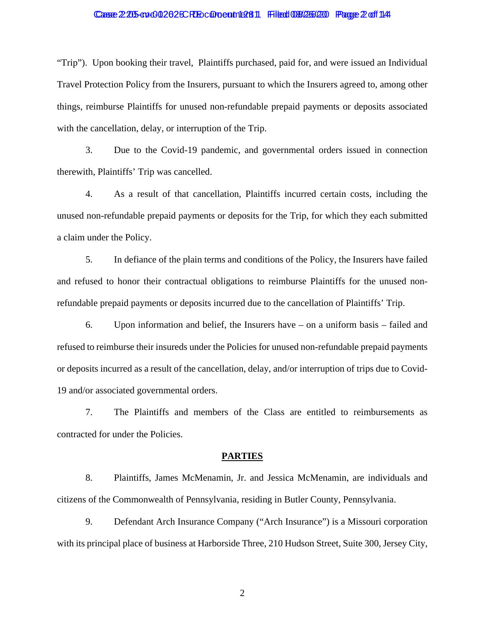### Casse 2:205-cv+002625CRE Document 12811 Filed 08/266/20 Page 2 of 1144

"Trip"). Upon booking their travel, Plaintiffs purchased, paid for, and were issued an Individual Travel Protection Policy from the Insurers, pursuant to which the Insurers agreed to, among other things, reimburse Plaintiffs for unused non-refundable prepaid payments or deposits associated with the cancellation, delay, or interruption of the Trip.

3. Due to the Covid-19 pandemic, and governmental orders issued in connection therewith, Plaintiffs' Trip was cancelled.

4. As a result of that cancellation, Plaintiffs incurred certain costs, including the unused non-refundable prepaid payments or deposits for the Trip, for which they each submitted a claim under the Policy.

5. In defiance of the plain terms and conditions of the Policy, the Insurers have failed and refused to honor their contractual obligations to reimburse Plaintiffs for the unused nonrefundable prepaid payments or deposits incurred due to the cancellation of Plaintiffs' Trip.

6. Upon information and belief, the Insurers have – on a uniform basis – failed and refused to reimburse their insureds under the Policies for unused non-refundable prepaid payments or deposits incurred as a result of the cancellation, delay, and/or interruption of trips due to Covid-19 and/or associated governmental orders.

7. The Plaintiffs and members of the Class are entitled to reimbursements as contracted for under the Policies.

#### **PARTIES**

8. Plaintiffs, James McMenamin, Jr. and Jessica McMenamin, are individuals and citizens of the Commonwealth of Pennsylvania, residing in Butler County, Pennsylvania.

9. Defendant Arch Insurance Company ("Arch Insurance") is a Missouri corporation with its principal place of business at Harborside Three, 210 Hudson Street, Suite 300, Jersey City,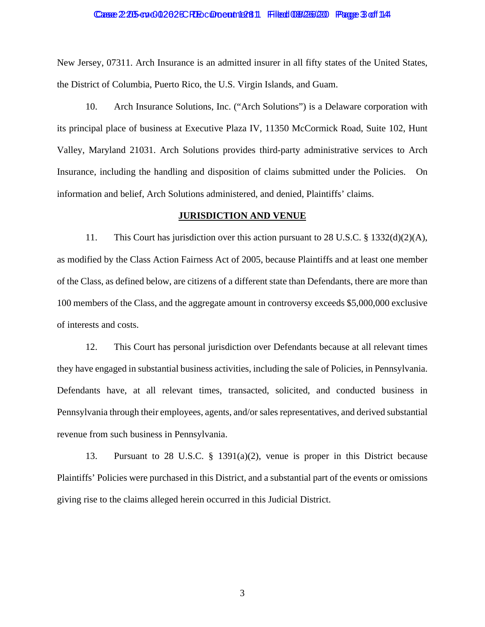### Casse 2:205-cv+002625CRE Document 12811 Filed 08/266/20 Page 3 of 1144

New Jersey, 07311. Arch Insurance is an admitted insurer in all fifty states of the United States, the District of Columbia, Puerto Rico, the U.S. Virgin Islands, and Guam.

10. Arch Insurance Solutions, Inc. ("Arch Solutions") is a Delaware corporation with its principal place of business at Executive Plaza IV, 11350 McCormick Road, Suite 102, Hunt Valley, Maryland 21031. Arch Solutions provides third-party administrative services to Arch Insurance, including the handling and disposition of claims submitted under the Policies. On information and belief, Arch Solutions administered, and denied, Plaintiffs' claims.

### **JURISDICTION AND VENUE**

11. This Court has jurisdiction over this action pursuant to 28 U.S.C.  $\S$  1332(d)(2)(A), as modified by the Class Action Fairness Act of 2005, because Plaintiffs and at least one member of the Class, as defined below, are citizens of a different state than Defendants, there are more than 100 members of the Class, and the aggregate amount in controversy exceeds \$5,000,000 exclusive of interests and costs.

12. This Court has personal jurisdiction over Defendants because at all relevant times they have engaged in substantial business activities, including the sale of Policies, in Pennsylvania. Defendants have, at all relevant times, transacted, solicited, and conducted business in Pennsylvania through their employees, agents, and/or sales representatives, and derived substantial revenue from such business in Pennsylvania.

13. Pursuant to 28 U.S.C. § 1391(a)(2), venue is proper in this District because Plaintiffs' Policies were purchased in this District, and a substantial part of the events or omissions giving rise to the claims alleged herein occurred in this Judicial District.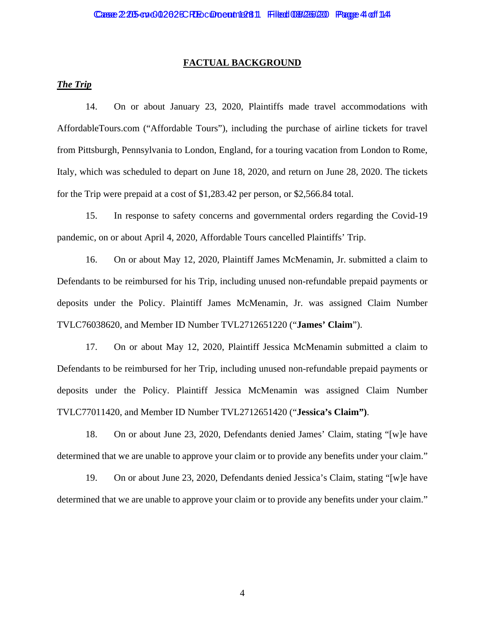### **FACTUAL BACKGROUND**

## *The Trip*

14. On or about January 23, 2020, Plaintiffs made travel accommodations with AffordableTours.com ("Affordable Tours"), including the purchase of airline tickets for travel from Pittsburgh, Pennsylvania to London, England, for a touring vacation from London to Rome, Italy, which was scheduled to depart on June 18, 2020, and return on June 28, 2020. The tickets for the Trip were prepaid at a cost of \$1,283.42 per person, or \$2,566.84 total.

15. In response to safety concerns and governmental orders regarding the Covid-19 pandemic, on or about April 4, 2020, Affordable Tours cancelled Plaintiffs' Trip.

16. On or about May 12, 2020, Plaintiff James McMenamin, Jr. submitted a claim to Defendants to be reimbursed for his Trip, including unused non-refundable prepaid payments or deposits under the Policy. Plaintiff James McMenamin, Jr. was assigned Claim Number TVLC76038620, and Member ID Number TVL2712651220 ("**James' Claim**").

17. On or about May 12, 2020, Plaintiff Jessica McMenamin submitted a claim to Defendants to be reimbursed for her Trip, including unused non-refundable prepaid payments or deposits under the Policy. Plaintiff Jessica McMenamin was assigned Claim Number TVLC77011420, and Member ID Number TVL2712651420 ("**Jessica's Claim")**.

18. On or about June 23, 2020, Defendants denied James' Claim, stating "[w]e have determined that we are unable to approve your claim or to provide any benefits under your claim."

19. On or about June 23, 2020, Defendants denied Jessica's Claim, stating "[w]e have determined that we are unable to approve your claim or to provide any benefits under your claim."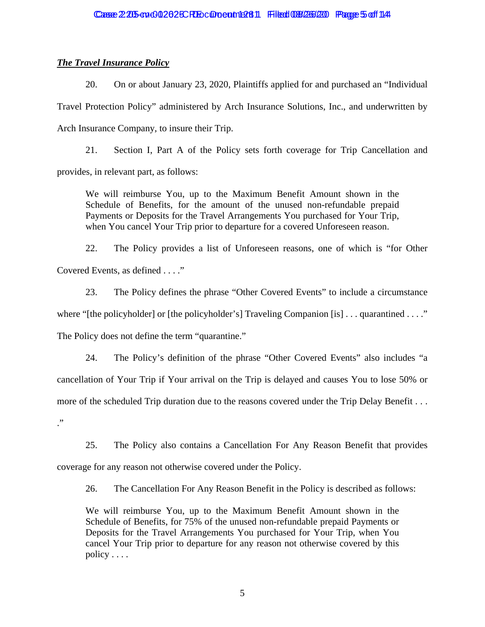## *The Travel Insurance Policy*

20. On or about January 23, 2020, Plaintiffs applied for and purchased an "Individual Travel Protection Policy" administered by Arch Insurance Solutions, Inc., and underwritten by Arch Insurance Company, to insure their Trip.

21. Section I, Part A of the Policy sets forth coverage for Trip Cancellation and provides, in relevant part, as follows:

We will reimburse You, up to the Maximum Benefit Amount shown in the Schedule of Benefits, for the amount of the unused non-refundable prepaid Payments or Deposits for the Travel Arrangements You purchased for Your Trip, when You cancel Your Trip prior to departure for a covered Unforeseen reason.

22. The Policy provides a list of Unforeseen reasons, one of which is "for Other Covered Events, as defined . . . ."

23. The Policy defines the phrase "Other Covered Events" to include a circumstance where "[the policyholder] or [the policyholder's] Traveling Companion [is] ... quarantined ...." The Policy does not define the term "quarantine."

24. The Policy's definition of the phrase "Other Covered Events" also includes "a cancellation of Your Trip if Your arrival on the Trip is delayed and causes You to lose 50% or more of the scheduled Trip duration due to the reasons covered under the Trip Delay Benefit . . . ."

25. The Policy also contains a Cancellation For Any Reason Benefit that provides

coverage for any reason not otherwise covered under the Policy.

26. The Cancellation For Any Reason Benefit in the Policy is described as follows:

We will reimburse You, up to the Maximum Benefit Amount shown in the Schedule of Benefits, for 75% of the unused non-refundable prepaid Payments or Deposits for the Travel Arrangements You purchased for Your Trip, when You cancel Your Trip prior to departure for any reason not otherwise covered by this policy . . . .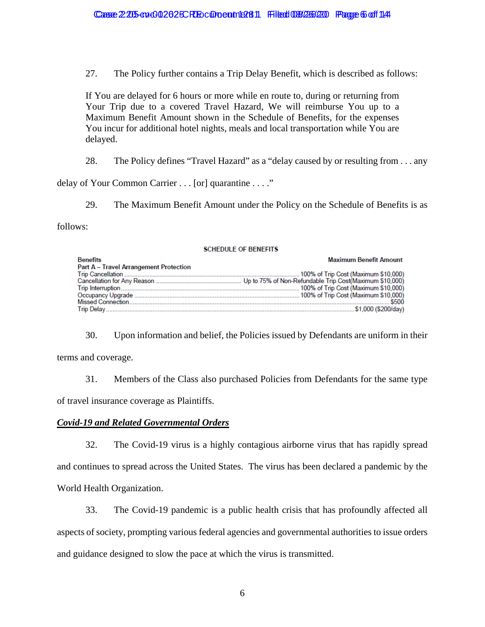27. The Policy further contains a Trip Delay Benefit, which is described as follows:

If You are delayed for 6 hours or more while en route to, during or returning from Your Trip due to a covered Travel Hazard, We will reimburse You up to a Maximum Benefit Amount shown in the Schedule of Benefits, for the expenses You incur for additional hotel nights, meals and local transportation while You are delayed.

28. The Policy defines "Travel Hazard" as a "delay caused by or resulting from . . . any

delay of Your Common Carrier . . . [or] quarantine . . . ."

29. The Maximum Benefit Amount under the Policy on the Schedule of Benefits is as

follows:

### **SCHEDULE OF BENEFITS**

| <b>Benefits</b>                               | <b>Maximum Benefit Amount</b> |
|-----------------------------------------------|-------------------------------|
| <b>Part A - Travel Arrangement Protection</b> |                               |
|                                               |                               |
|                                               |                               |
|                                               |                               |
|                                               |                               |
|                                               |                               |
|                                               |                               |

30. Upon information and belief, the Policies issued by Defendants are uniform in their terms and coverage.

31. Members of the Class also purchased Policies from Defendants for the same type of travel insurance coverage as Plaintiffs.

## *Covid-19 and Related Governmental Orders*

32. The Covid-19 virus is a highly contagious airborne virus that has rapidly spread and continues to spread across the United States. The virus has been declared a pandemic by the World Health Organization.

33. The Covid-19 pandemic is a public health crisis that has profoundly affected all aspects of society, prompting various federal agencies and governmental authorities to issue orders and guidance designed to slow the pace at which the virus is transmitted.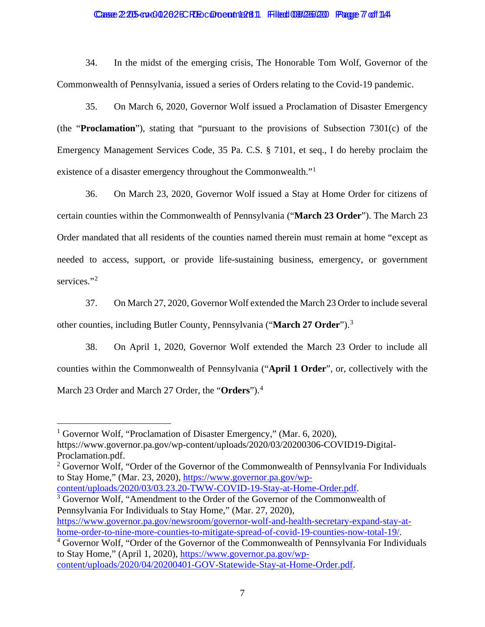### Casse 2:205-cv-0012625CRE Document 13811 Filed 08/266/20 Page 7 of 1141

34. In the midst of the emerging crisis, The Honorable Tom Wolf, Governor of the Commonwealth of Pennsylvania, issued a series of Orders relating to the Covid-19 pandemic.

35. On March 6, 2020, Governor Wolf issued a Proclamation of Disaster Emergency (the "**Proclamation**"), stating that "pursuant to the provisions of Subsection 7301(c) of the Emergency Management Services Code, 35 Pa. C.S. § 7101, et seq., I do hereby proclaim the existence of a disaster emergency throughout the Commonwealth."[1](#page-6-0)

36. On March 23, 2020, Governor Wolf issued a Stay at Home Order for citizens of certain counties within the Commonwealth of Pennsylvania ("**March 23 Order**"). The March 23 Order mandated that all residents of the counties named therein must remain at home "except as needed to access, support, or provide life-sustaining business, emergency, or government services."<sup>[2](#page-6-1)</sup>

37. On March 27, 2020, Governor Wolf extended the March 23 Order to include several other counties, including Butler County, Pennsylvania ("**March 27 Order**"). [3](#page-6-2)

38. On April 1, 2020, Governor Wolf extended the March 23 Order to include all counties within the Commonwealth of Pennsylvania ("**April 1 Order**", or, collectively with the March 23 Order and March 27 Order, the "**Orders**").[4](#page-6-3)

<span id="page-6-0"></span><sup>1</sup> Governor Wolf, "Proclamation of Disaster Emergency," (Mar. 6, 2020), https://www.governor.pa.gov/wp-content/uploads/2020/03/20200306-COVID19-Digital-Proclamation.pdf.

<span id="page-6-1"></span> $2$  Governor Wolf, "Order of the Governor of the Commonwealth of Pennsylvania For Individuals to Stay Home," (Mar. 23, 2020), [https://www.governor.pa.gov/wp-](https://www.governor.pa.gov/wp-content/uploads/2020/03/03.23.20-TWW-COVID-19-Stay-at-Home-Order.pdf)

<span id="page-6-2"></span>[content/uploads/2020/03/03.23.20-TWW-COVID-19-Stay-at-Home-Order.pdf.](https://www.governor.pa.gov/wp-content/uploads/2020/03/03.23.20-TWW-COVID-19-Stay-at-Home-Order.pdf) <sup>3</sup> Governor Wolf, "Amendment to the Order of the Governor of the Commonwealth of

Pennsylvania For Individuals to Stay Home," (Mar. 27, 2020), [https://www.governor.pa.gov/newsroom/governor-wolf-and-health-secretary-expand-stay-at](https://www.governor.pa.gov/newsroom/governor-wolf-and-health-secretary-expand-stay-at-home-order-to-nine-more-counties-to-mitigate-spread-of-covid-19-counties-now-total-19/)[home-order-to-nine-more-counties-to-mitigate-spread-of-covid-19-counties-now-total-19/.](https://www.governor.pa.gov/newsroom/governor-wolf-and-health-secretary-expand-stay-at-home-order-to-nine-more-counties-to-mitigate-spread-of-covid-19-counties-now-total-19/)

<span id="page-6-3"></span><sup>4</sup> Governor Wolf, "Order of the Governor of the Commonwealth of Pennsylvania For Individuals to Stay Home," (April 1, 2020), [https://www.governor.pa.gov/wp](https://www.governor.pa.gov/wp-content/uploads/2020/04/20200401-GOV-Statewide-Stay-at-Home-Order.pdf)[content/uploads/2020/04/20200401-GOV-Statewide-Stay-at-Home-Order.pdf.](https://www.governor.pa.gov/wp-content/uploads/2020/04/20200401-GOV-Statewide-Stay-at-Home-Order.pdf)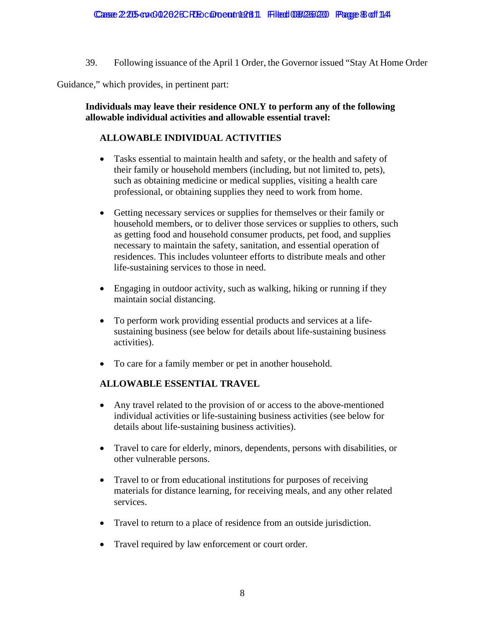39. Following issuance of the April 1 Order, the Governor issued "Stay At Home Order

Guidance," which provides, in pertinent part:

**Individuals may leave their residence ONLY to perform any of the following allowable individual activities and allowable essential travel:** 

# **ALLOWABLE INDIVIDUAL ACTIVITIES**

- Tasks essential to maintain health and safety, or the health and safety of their family or household members (including, but not limited to, pets), such as obtaining medicine or medical supplies, visiting a health care professional, or obtaining supplies they need to work from home.
- Getting necessary services or supplies for themselves or their family or household members, or to deliver those services or supplies to others, such as getting food and household consumer products, pet food, and supplies necessary to maintain the safety, sanitation, and essential operation of residences. This includes volunteer efforts to distribute meals and other life-sustaining services to those in need.
- Engaging in outdoor activity, such as walking, hiking or running if they maintain social distancing.
- To perform work providing essential products and services at a lifesustaining business (see below for details about life-sustaining business activities).
- To care for a family member or pet in another household.

## **ALLOWABLE ESSENTIAL TRAVEL**

- Any travel related to the provision of or access to the above-mentioned individual activities or life-sustaining business activities (see below for details about life-sustaining business activities).
- Travel to care for elderly, minors, dependents, persons with disabilities, or other vulnerable persons.
- Travel to or from educational institutions for purposes of receiving materials for distance learning, for receiving meals, and any other related services.
- Travel to return to a place of residence from an outside jurisdiction.
- Travel required by law enforcement or court order.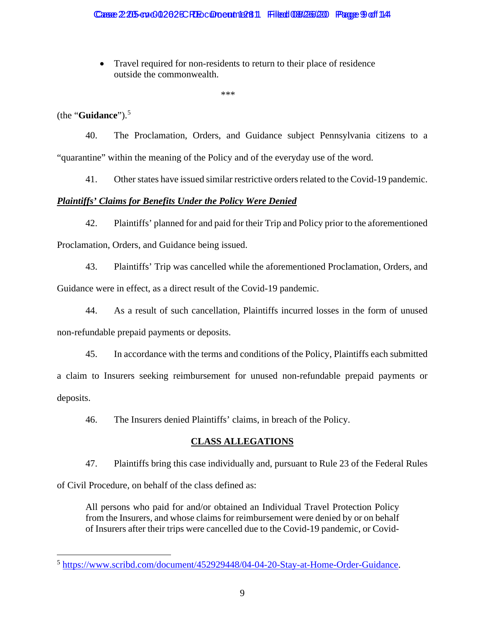• Travel required for non-residents to return to their place of residence outside the commonwealth.

\*\*\*

(the "**Guidance**").[5](#page-8-0)

40. The Proclamation, Orders, and Guidance subject Pennsylvania citizens to a "quarantine" within the meaning of the Policy and of the everyday use of the word.

41. Other states have issued similar restrictive orders related to the Covid-19 pandemic.

# *Plaintiffs' Claims for Benefits Under the Policy Were Denied*

42. Plaintiffs' planned for and paid for their Trip and Policy prior to the aforementioned Proclamation, Orders, and Guidance being issued.

- 43. Plaintiffs' Trip was cancelled while the aforementioned Proclamation, Orders, and Guidance were in effect, as a direct result of the Covid-19 pandemic.
- 44. As a result of such cancellation, Plaintiffs incurred losses in the form of unused non-refundable prepaid payments or deposits.
- 45. In accordance with the terms and conditions of the Policy, Plaintiffs each submitted a claim to Insurers seeking reimbursement for unused non-refundable prepaid payments or deposits.

46. The Insurers denied Plaintiffs' claims, in breach of the Policy.

# **CLASS ALLEGATIONS**

47. Plaintiffs bring this case individually and, pursuant to Rule 23 of the Federal Rules

of Civil Procedure, on behalf of the class defined as:

All persons who paid for and/or obtained an Individual Travel Protection Policy from the Insurers, and whose claims for reimbursement were denied by or on behalf of Insurers after their trips were cancelled due to the Covid-19 pandemic, or Covid-

<span id="page-8-0"></span><sup>5</sup> [https://www.scribd.com/document/452929448/04-04-20-Stay-at-Home-Order-Guidance.](https://www.scribd.com/document/452929448/04-04-20-Stay-at-Home-Order-Guidance)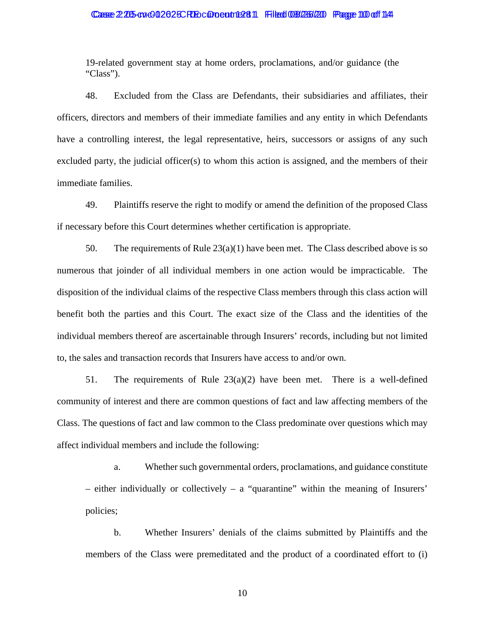### Casse 2:205-cv-0012625CRE Document 1281 Filed 08/26/20 Page 10 of 14

19-related government stay at home orders, proclamations, and/or guidance (the "Class").

48. Excluded from the Class are Defendants, their subsidiaries and affiliates, their officers, directors and members of their immediate families and any entity in which Defendants have a controlling interest, the legal representative, heirs, successors or assigns of any such excluded party, the judicial officer(s) to whom this action is assigned, and the members of their immediate families.

49. Plaintiffs reserve the right to modify or amend the definition of the proposed Class if necessary before this Court determines whether certification is appropriate.

50. The requirements of Rule  $23(a)(1)$  have been met. The Class described above is so numerous that joinder of all individual members in one action would be impracticable. The disposition of the individual claims of the respective Class members through this class action will benefit both the parties and this Court. The exact size of the Class and the identities of the individual members thereof are ascertainable through Insurers' records, including but not limited to, the sales and transaction records that Insurers have access to and/or own.

51. The requirements of Rule  $23(a)(2)$  have been met. There is a well-defined community of interest and there are common questions of fact and law affecting members of the Class. The questions of fact and law common to the Class predominate over questions which may affect individual members and include the following:

a. Whether such governmental orders, proclamations, and guidance constitute  $-$  either individually or collectively  $-$  a "quarantine" within the meaning of Insurers' policies;

b. Whether Insurers' denials of the claims submitted by Plaintiffs and the members of the Class were premeditated and the product of a coordinated effort to (i)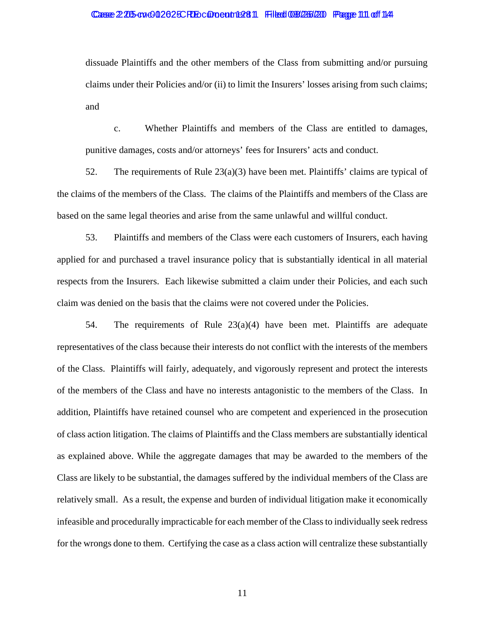### Casse 2:205-cv-0012625CRE Document 1381 Filed 08/26/20 Page 111 of 114

dissuade Plaintiffs and the other members of the Class from submitting and/or pursuing claims under their Policies and/or (ii) to limit the Insurers' losses arising from such claims; and

c. Whether Plaintiffs and members of the Class are entitled to damages, punitive damages, costs and/or attorneys' fees for Insurers' acts and conduct.

52. The requirements of Rule 23(a)(3) have been met. Plaintiffs' claims are typical of the claims of the members of the Class. The claims of the Plaintiffs and members of the Class are based on the same legal theories and arise from the same unlawful and willful conduct.

53. Plaintiffs and members of the Class were each customers of Insurers, each having applied for and purchased a travel insurance policy that is substantially identical in all material respects from the Insurers. Each likewise submitted a claim under their Policies, and each such claim was denied on the basis that the claims were not covered under the Policies.

54. The requirements of Rule  $23(a)(4)$  have been met. Plaintiffs are adequate representatives of the class because their interests do not conflict with the interests of the members of the Class. Plaintiffs will fairly, adequately, and vigorously represent and protect the interests of the members of the Class and have no interests antagonistic to the members of the Class. In addition, Plaintiffs have retained counsel who are competent and experienced in the prosecution of class action litigation. The claims of Plaintiffs and the Class members are substantially identical as explained above. While the aggregate damages that may be awarded to the members of the Class are likely to be substantial, the damages suffered by the individual members of the Class are relatively small. As a result, the expense and burden of individual litigation make it economically infeasible and procedurally impracticable for each member of the Class to individually seek redress for the wrongs done to them. Certifying the case as a class action will centralize these substantially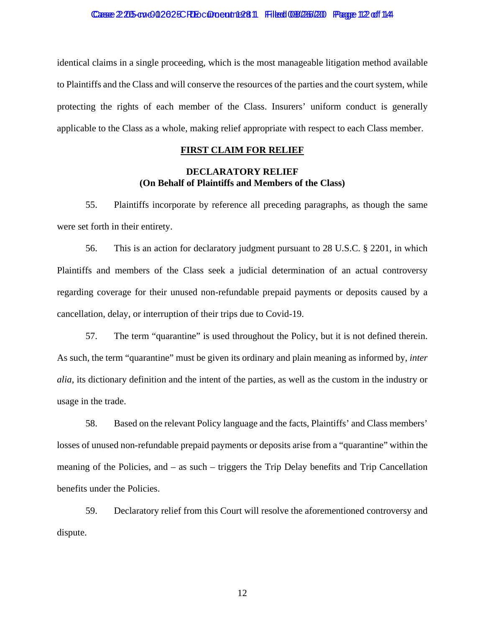identical claims in a single proceeding, which is the most manageable litigation method available to Plaintiffs and the Class and will conserve the resources of the parties and the court system, while protecting the rights of each member of the Class. Insurers' uniform conduct is generally applicable to the Class as a whole, making relief appropriate with respect to each Class member.

## **FIRST CLAIM FOR RELIEF**

## **DECLARATORY RELIEF (On Behalf of Plaintiffs and Members of the Class)**

55. Plaintiffs incorporate by reference all preceding paragraphs, as though the same were set forth in their entirety.

56. This is an action for declaratory judgment pursuant to 28 U.S.C. § 2201, in which Plaintiffs and members of the Class seek a judicial determination of an actual controversy regarding coverage for their unused non-refundable prepaid payments or deposits caused by a cancellation, delay, or interruption of their trips due to Covid-19.

57. The term "quarantine" is used throughout the Policy, but it is not defined therein. As such, the term "quarantine" must be given its ordinary and plain meaning as informed by, *inter alia*, its dictionary definition and the intent of the parties, as well as the custom in the industry or usage in the trade.

58. Based on the relevant Policy language and the facts, Plaintiffs' and Class members' losses of unused non-refundable prepaid payments or deposits arise from a "quarantine" within the meaning of the Policies, and – as such – triggers the Trip Delay benefits and Trip Cancellation benefits under the Policies.

59. Declaratory relief from this Court will resolve the aforementioned controversy and dispute.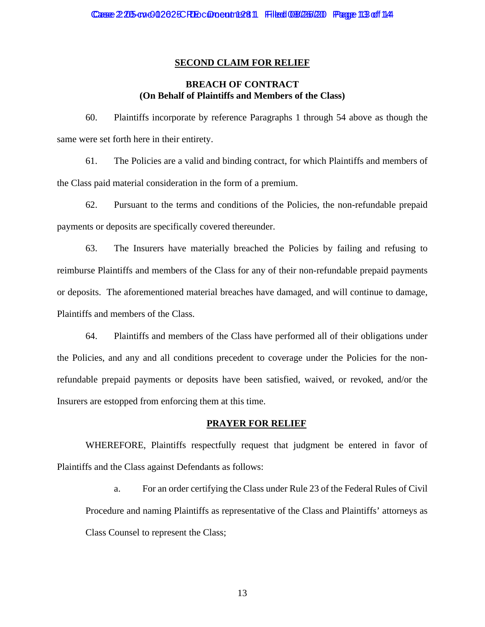### **SECOND CLAIM FOR RELIEF**

## **BREACH OF CONTRACT (On Behalf of Plaintiffs and Members of the Class)**

60. Plaintiffs incorporate by reference Paragraphs 1 through 54 above as though the same were set forth here in their entirety.

61. The Policies are a valid and binding contract, for which Plaintiffs and members of the Class paid material consideration in the form of a premium.

62. Pursuant to the terms and conditions of the Policies, the non-refundable prepaid payments or deposits are specifically covered thereunder.

63. The Insurers have materially breached the Policies by failing and refusing to reimburse Plaintiffs and members of the Class for any of their non-refundable prepaid payments or deposits. The aforementioned material breaches have damaged, and will continue to damage, Plaintiffs and members of the Class.

64. Plaintiffs and members of the Class have performed all of their obligations under the Policies, and any and all conditions precedent to coverage under the Policies for the nonrefundable prepaid payments or deposits have been satisfied, waived, or revoked, and/or the Insurers are estopped from enforcing them at this time.

### **PRAYER FOR RELIEF**

WHEREFORE, Plaintiffs respectfully request that judgment be entered in favor of Plaintiffs and the Class against Defendants as follows:

a. For an order certifying the Class under Rule 23 of the Federal Rules of Civil Procedure and naming Plaintiffs as representative of the Class and Plaintiffs' attorneys as Class Counsel to represent the Class;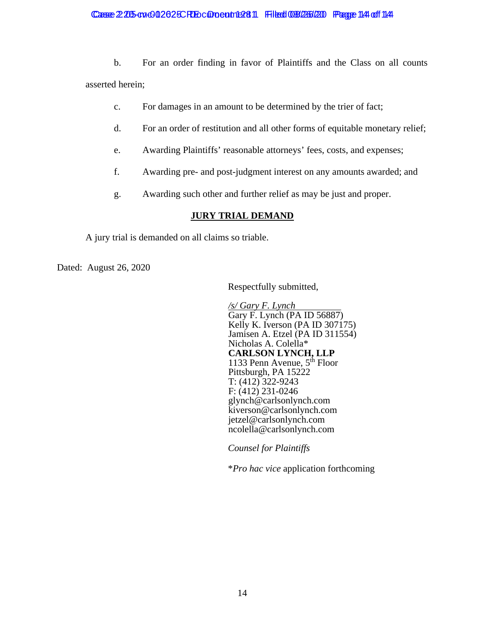## Casse 2:205-cv-002625CRE Document 1281 Filed 08/26/20 Page 144 of 144

b. For an order finding in favor of Plaintiffs and the Class on all counts asserted herein;

- c. For damages in an amount to be determined by the trier of fact;
- d. For an order of restitution and all other forms of equitable monetary relief;
- e. Awarding Plaintiffs' reasonable attorneys' fees, costs, and expenses;
- f. Awarding pre- and post-judgment interest on any amounts awarded; and
- g. Awarding such other and further relief as may be just and proper.

## **JURY TRIAL DEMAND**

A jury trial is demanded on all claims so triable.

Dated: August 26, 2020

Respectfully submitted,

*/s/ Gary F. Lynch* Gary F. Lynch (PA ID 56887) Kelly K. Iverson (PA ID 307175) Jamisen A. Etzel (PA ID 311554) Nicholas A. Colella\* **CARLSON LYNCH, LLP** 1133 Penn Avenue,  $5<sup>th</sup>$  Floor Pittsburgh, PA 15222 T: (412) 322-9243 F: (412) 231-0246 glynch@carlsonlynch.com kiverson@carlsonlynch.com jetzel@carlsonlynch.com ncolella@carlsonlynch.com

*Counsel for Plaintiffs* 

\**Pro hac vice* application forthcoming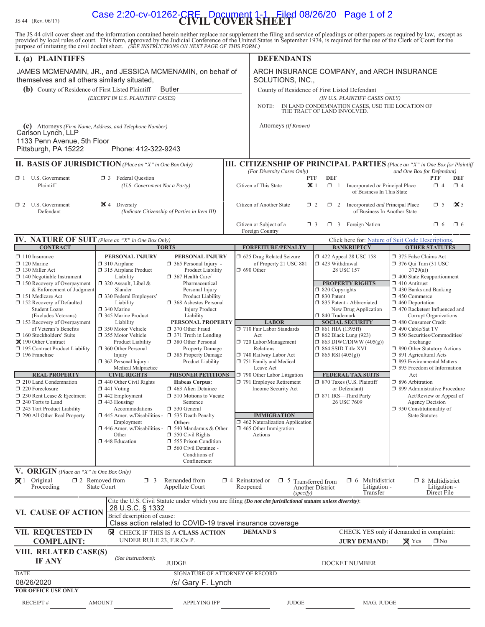JS 44 (Rev. 06/17) **CIVIL COVER SHEET** Case 2:20-cv-01262-CRE Document 1-1 Filed 08/26/20 Page 1 of 2The JS 44 civil cover sheet and the information contained herein neither replace nor supplement the filing and service of pleadings or other papers as required by law, except as provided by local rules of court. This form, purpose of initiating the civil docket sheet. *(SEE INSTRUCTIONS ON NEXT PAGE OF THIS FORM.)* **I.** (a) PLAINTIFFS **DEFENDANTS (b)** County of Residence of First Listed Plaintiff Butler County of Residence of First Listed Defendant *(EXCEPT IN U.S. PLAINTIFF CASES) (IN U.S. PLAINTIFF CASES ONLY)* NOTE: IN LAND CONDEMNATION CASES, USE THE LOCATION OF THE TRACT OF LAND INVOLVED. **(c)** Attorneys *(Firm Name, Address, and Telephone Number)* Attorneys *(If Known)* **III. CITIZENSHIP OF PRINCIPAL PARTIES** (Place an "X" in One Box for Plaintiff<sup></sup><br>*(For Diversity Cases Only)* and One Box for Defendant) *(For Diversity Cases One Box for Defendant)* **PTF DEF 1** U.S. Government **D** 3 Federal Question Plaintiff *(U.S. Government Not a Party)* Citizen of This State  $\mathcal{K}$  1  $\Box$  1 Incorporated *or* Principal Place  $\Box$  4  $\Box$  4 of Business In This State **1** 2 U.S. Government **2** 4 Diversity *Citizen of Another State* **u** 2 u 2 Incorporated *and* Principal Place **u** 5 **2** 5 uncorporated *and* Principal Place **u** 5 **5** 5 × 5 Uncorporated *and* Principal Place **u** 5 × 5 *(Indicate Citizenship of Parties in Item III)* Citizen or Subject of a  $\Box$  3  $\Box$  3 Foreign Nation  $\Box$  6  $\Box$  6  $\Box$  6 Foreign Country **IV. NATURE OF SUIT** *(Place an "X" in One Box Only)* Click here for: Nature of Suit Code Descriptions.<br> **IFOREEITURE/PENALTY | BANKRUPTCY | OTHER STATUTES FORFEITURE/PENALTY □** 110 Insurance **PERSONAL INJURY PERSONAL INJURY □** 625 Drug Related Seizure **□** 422 Appeal 28 USC 158 □ 375 False Claims Act <table>\n<tbody>\n<tr>\n<td>□ 120 Marine</td>\n<td>□ 310 Airplane</td>\n<td>□ 315 Airplane Product</td>\n<td>□ 365 Personal Injury -</td>\n<td>① 690 Other</td>\n<td>② 423 Withdrawal</td>\n<td>□ 376 Qui Tam (31 USC)</td>\n</tr>\n<tr>\n<td>□ 130 Miller Act</td>\n<td>□ 315 Airplane Product</td>\n<td>② 7316</td>\n<td>② 1317</td>\n<td>② 316</td>\n<td>② 1317</td>\n<td>② 316</td>\n<td>② 316</td>\n<td>�  $\Box$  315 Airplane Product □ 140 Negotiable Instrument Liability □ 367 Health Care/ □ 400 State Reapportionment □ 400 State Reapportionment □ 320 Assault, Libel & Pharmaceutical □ 400 State Reapportionment □ 410 Antitrust □ 410 Antitrust <table>\n<tbody>\n<tr>\n<th>□ 150 Recovery of Overpayment</th>\n<th>□ 320 Assault, Libel &amp; 200 Assult, Eibel &amp; 200 Syl (2011) 200 Syl (2012) 2010 Syl (2013) 2010 Syl (2013) 2010 Syl (2013) 2010 Syl (2013) 2010 Syl (2013) 2010 Syl (2013) 2010 Syl (2013) 2010 Syl (2013) 2010 Syl (2013) 2010 Syl (2013) 2010 Syl (2013) 20 & Enforcement of Judgment Slander Slander Personal Injury  $\Box$  820 Copyrights  $\Box$  820 Copyrights  $\Box$  430 Banks and  $\Box$  830 Pederal Employers' Product Liability  $\Box$  830 Patent  $\Box$  450 Commerce □ 330 Patent Employers' Product Liability D 368 Asbestos Personal D 830 Patent - Abbreviated D 450 Commerce U 368 Asbestos Personal D 835 Patent - Abbreviated D 460 Deportation u 152 Recovery of Defaulted Liability u 368 Asbestos Personal u 835 Patent - Abbreviated u 460 Deportation Student Liability Product Liability 1970 Racketeer Influenced and Liability 19840 Trademark 19840 Trademark 19840 Trademark 19840 Trademark 19840 Trademark 19840 Trademark 1986 Trademark 1986 Trademark 1986 Trademark 1986 (Excludes Veterans) 345 Marine Product Liability Liability Liability **LABOR** 340 Trademark Corrupt Organizations<br>
Recovery of Overpayment Liability **PERSONAL PROPERTY** LABOR SOCIAL SECURITY 1 480 Consumer Credit **U** 153 Recovery of Overpayment Liability **PERSONAL PROPERTY LABOR** of Veteran's Benefits  $\Box$  350 Motor Vehicle  $\Box$  370 Other Fraud  $\Box$  710 Fair Labor Standards  $\Box$  861 HIA (1395ff)  $\Box$  490 Cable/Sat TV Stockholders' Suits  $\Box$  355 Motor Vehicle  $\Box$  371 Truth in Lending Act  $\Box$  862 □ 160 Stockholders' Suits □ 355 Motor Vehicle □ 371 Truth in Lending Act □ 862 Black Lung (923) □ 850 Securities/Commodities/ u 190 Other Contract Product Liability u 380 Other Personal u 720 Labor/Management u 863 DIWC/DIWW (405(g)) Exchange □ 195 Contract Product Liability | □ 360 Other Personal Property Damage Relations I 864 SSID Title XVI □ 890 Other Statutory Actions  $\Box$  196 Franchise Injury Injury  $\Box$  385 Property Damage  $\Box$  740 Railway Labor Act  $\Box$  865 RSI (405(g))  $\Box$  891 Agricultural Acts  $\Box$  893 Environmental Ma Product Liability  $\Box$  751 Family and Medical  $\Box$  893 Environmental Matters Medical Malpractice Leave Act u 895 Freedom of Information **REAL PROPERTY** CIVIL RIGHTS **PRISONER PETITIONS CONFIDENTIONS EXPLORED FEDERAL TAX SUITS** u 210 Land Condemnation u 440 Other Civil Rights **Habeas Corpus:** u 791 Employee Retirement u 870 Taxes (U.S. Plaintiff u 896 Arbitration u 220 Foreclosure u 441 Voting u 463 Alien Detainee Income Security Act or Defendant) u 899 Administrative Procedure □ 230 Rent Lease & Ejectment □ 442 Employment □ 510 Motions to Vacate □ 871 IRS—Third Party Act/Review or Appeal of Sentence □ 443 Housing Sentence 26 USC 7609 Agency Decision □ 240 Torts to Land  $\Box$  443 Housing/ Sentence 26 USC 7609 Agency Decision<br>
□ 245 Tort Product Liability Accommodations 2530 General 26 USC 7609 Agency Decision 1 245 Tort Product Liability Accommodations 1 530 General □ 290 All Other Real Property □ 445 Amer. w/Disabilities - □ 535 Death Penalty **IMMIGRATION** State Statutes Employment **Other:** □ 462 Naturalization Application Employment **Other: Other:**  $\boxed{ }$  462 Naturalization Application <br> $\boxed{ }$  446 Amer. w/Disabilities -  $\boxed{ }$  540 Mandamus & Other  $\boxed{ }$  465 Other Immigration Amer. w/Disabilities -  $\Box$  540 Mandamus & Other Other  $\Box$  550 Civil Rights  $\Box$  550 Civil Rights Actions  $\Box$  448 Education  $\Box$  555 Prison Condition 1560 Civil Detainee - Conditions of Confinement **V. ORIGIN** *(Place an "X" in One Box Only)*  $\times$  1 Original Proceeding  $\square$  2 Removed from State Court  $\Box$  3 Remanded from Appellate Court  $\Box$  4 Reinstated or  $\Box$  5 Transferred from Reopened Another District *(specify)*  $\Box$  6 Multidistrict Litigation - Transfer  $\Box$  8 Multidistrict Litigation - Direct File **VI. CAUSE OF ACTION** Cite the U.S. Civil Statute under which you are filing *(Do not cite jurisdictional statutes unless diversity)*: Brief description of cause: **VII. REQUESTED IN COMPLAINT:** u CHECK IF THIS IS A **CLASS ACTION** UNDER RULE 23, F.R.Cv.P. **DEMAND \$** CHECK YES only if demanded in complaint: **JURY DEMAND: X** Yes **INO** JAMES MCMENAMIN, JR., and JESSICA MCMENAMIN, on behalf of themselves and all others similarly situated, Butler Carlson Lynch, LLP 1133 Penn Avenue, 5th Floor Pittsburgh, PA 15222 Phone: 412-322-9243 ARCH INSURANCE COMPANY, and ARCH INSURANCE SOLUTIONS, INC., 28 U.S.C. § 1332 Class action related to COVID-19 travel insurance coverage

| VIII. RELATED CASE(S)      |                     |                                 |              |                      |
|----------------------------|---------------------|---------------------------------|--------------|----------------------|
| <b>IF ANY</b>              | (See instructions): | <b>JUDGE</b>                    |              | <b>DOCKET NUMBER</b> |
| DATE                       |                     | SIGNATURE OF ATTORNEY OF RECORD |              |                      |
| 08/26/2020                 |                     | /s/ Gary F. Lynch               |              |                      |
| <b>FOR OFFICE USE ONLY</b> |                     |                                 |              |                      |
| <b>RECEIPT#</b>            | <b>AMOUNT</b>       | <b>APPLYING IFP</b>             | <b>JUDGE</b> | MAG. JUDGE           |